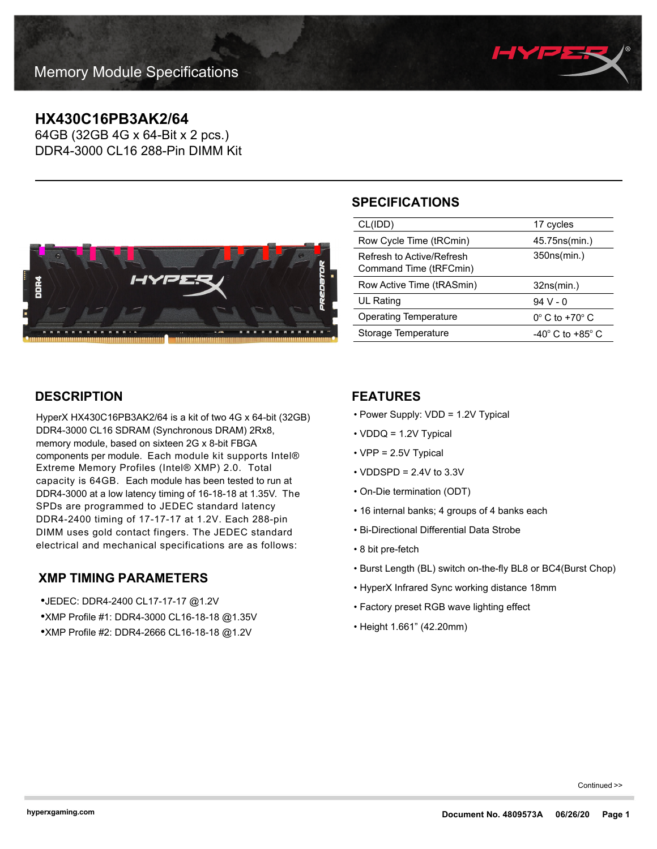

## **HX430C16PB3AK2/64**

64GB (32GB 4G x 64-Bit x 2 pcs.) DDR4-3000 CL16 288-Pin DIMM Kit



# **SPECIFICATIONS**

| CL(IDD)                                             | 17 cycles                      |
|-----------------------------------------------------|--------------------------------|
| Row Cycle Time (tRCmin)                             | 45.75ns(min.)                  |
| Refresh to Active/Refresh<br>Command Time (tRFCmin) | 350ns(min.)                    |
|                                                     |                                |
| Row Active Time (tRASmin)                           | 32ns(min.)                     |
| <b>UL Rating</b>                                    | $94V - 0$                      |
| <b>Operating Temperature</b>                        | $0^\circ$ C to +70 $^\circ$ C  |
| Storage Temperature                                 | $-40^\circ$ C to $+85^\circ$ C |

## **DESCRIPTION**

HyperX HX430C16PB3AK2/64 is a kit of two 4G x 64-bit (32GB) DDR4-3000 CL16 SDRAM (Synchronous DRAM) 2Rx8, memory module, based on sixteen 2G x 8-bit FBGA components per module. Each module kit supports Intel® Extreme Memory Profiles (Intel® XMP) 2.0. Total capacity is 64GB. Each module has been tested to run at DDR4-3000 at a low latency timing of 16-18-18 at 1.35V. The SPDs are programmed to JEDEC standard latency DDR4-2400 timing of 17-17-17 at 1.2V. Each 288-pin DIMM uses gold contact fingers. The JEDEC standard electrical and mechanical specifications are as follows:

### **XMP TIMING PARAMETERS**

•JEDEC: DDR4-2400 CL17-17-17 @1.2V •XMP Profile #1: DDR4-3000 CL16-18-18 @1.35V •XMP Profile #2: DDR4-2666 CL16-18-18 @1.2V

### **FEATURES**

- Power Supply: VDD = 1.2V Typical
- VDDQ = 1.2V Typical
- VPP = 2.5V Typical
- VDDSPD = 2.4V to 3.3V
- On-Die termination (ODT)
- 16 internal banks; 4 groups of 4 banks each
- Bi-Directional Differential Data Strobe
- 8 bit pre-fetch
- Burst Length (BL) switch on-the-fly BL8 or BC4(Burst Chop)
- HyperX Infrared Sync working distance 18mm
- Factory preset RGB wave lighting effect
- Height 1.661" (42.20mm)